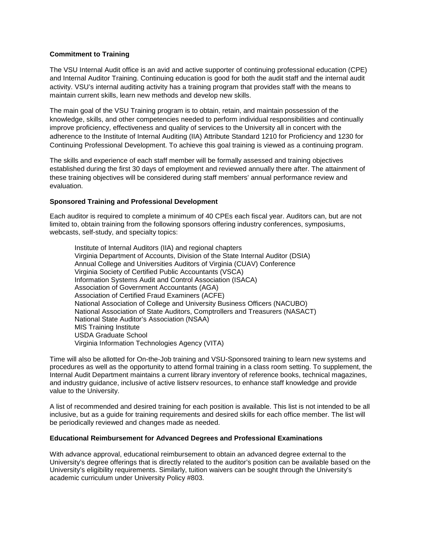## **Commitment to Training**

The VSU Internal Audit office is an avid and active supporter of continuing professional education (CPE) and Internal Auditor Training. Continuing education is good for both the audit staff and the internal audit activity. VSU's internal auditing activity has a training program that provides staff with the means to maintain current skills, learn new methods and develop new skills.

The main goal of the VSU Training program is to obtain, retain, and maintain possession of the knowledge, skills, and other competencies needed to perform individual responsibilities and continually improve proficiency, effectiveness and quality of services to the University all in concert with the adherence to the Institute of Internal Auditing (IIA) Attribute Standard 1210 for Proficiency and 1230 for Continuing Professional Development. To achieve this goal training is viewed as a continuing program.

The skills and experience of each staff member will be formally assessed and training objectives established during the first 30 days of employment and reviewed annually there after. The attainment of these training objectives will be considered during staff members' annual performance review and evaluation.

## **Sponsored Training and Professional Development**

Each auditor is required to complete a minimum of 40 CPEs each fiscal year. Auditors can, but are not limited to, obtain training from the following sponsors offering industry conferences, symposiums, webcasts, self-study, and specialty topics:

Institute of Internal Auditors (IIA) and regional chapters Virginia Department of Accounts, Division of the State Internal Auditor (DSIA) Annual College and Universities Auditors of Virginia (CUAV) Conference Virginia Society of Certified Public Accountants (VSCA) Information Systems Audit and Control Association (ISACA) Association of Government Accountants (AGA) Association of Certified Fraud Examiners (ACFE) National Association of College and University Business Officers (NACUBO) National Association of State Auditors, Comptrollers and Treasurers (NASACT) National State Auditor's Association (NSAA) MIS Training Institute USDA Graduate School Virginia Information Technologies Agency (VITA)

Time will also be allotted for On-the-Job training and VSU-Sponsored training to learn new systems and procedures as well as the opportunity to attend formal training in a class room setting. To supplement, the Internal Audit Department maintains a current library inventory of reference books, technical magazines, and industry guidance, inclusive of active listserv resources, to enhance staff knowledge and provide value to the University.

A [list](http://www.vsu.edu/PDFFiles/mteasdale/VSU%20Tng%20by%20Position%20Web.pdf) of recommended and desired training for each position is available. This list is not intended to be all inclusive, but as a guide for training requirements and desired skills for each office member. The list will be periodically reviewed and changes made as needed.

## **Educational Reimbursement for Advanced Degrees and Professional Examinations**

With advance approval, educational reimbursement to obtain an advanced degree external to the University's degree offerings that is directly related to the auditor's position can be available based on the University's eligibility requirements. Similarly, tuition waivers can be sought through the University's academic curriculum under University [Policy #803.](http://www.vsu.edu/Include/803.PDF)